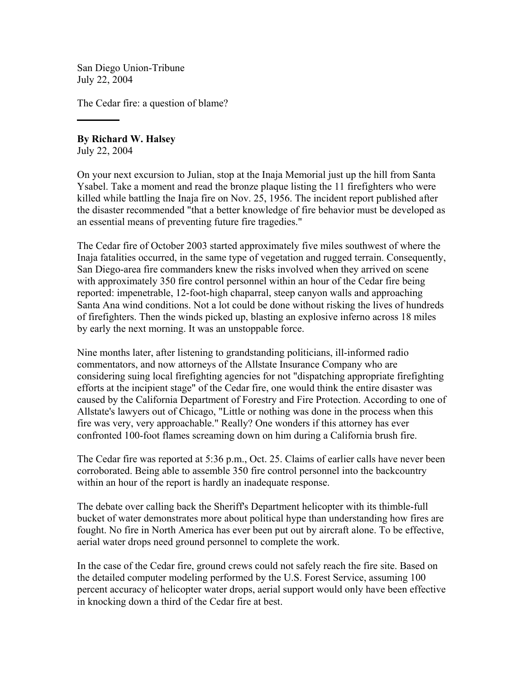San Diego Union-Tribune July 22, 2004

The Cedar fire: a question of blame?

**By Richard W. Halsey** July 22, 2004

On your next excursion to Julian, stop at the Inaja Memorial just up the hill from Santa Ysabel. Take a moment and read the bronze plaque listing the 11 firefighters who were killed while battling the Inaja fire on Nov. 25, 1956. The incident report published after the disaster recommended "that a better knowledge of fire behavior must be developed as an essential means of preventing future fire tragedies."

The Cedar fire of October 2003 started approximately five miles southwest of where the Inaja fatalities occurred, in the same type of vegetation and rugged terrain. Consequently, San Diego-area fire commanders knew the risks involved when they arrived on scene with approximately 350 fire control personnel within an hour of the Cedar fire being reported: impenetrable, 12-foot-high chaparral, steep canyon walls and approaching Santa Ana wind conditions. Not a lot could be done without risking the lives of hundreds of firefighters. Then the winds picked up, blasting an explosive inferno across 18 miles by early the next morning. It was an unstoppable force.

Nine months later, after listening to grandstanding politicians, ill-informed radio commentators, and now attorneys of the Allstate Insurance Company who are considering suing local firefighting agencies for not "dispatching appropriate firefighting efforts at the incipient stage" of the Cedar fire, one would think the entire disaster was caused by the California Department of Forestry and Fire Protection. According to one of Allstate's lawyers out of Chicago, "Little or nothing was done in the process when this fire was very, very approachable." Really? One wonders if this attorney has ever confronted 100-foot flames screaming down on him during a California brush fire.

The Cedar fire was reported at 5:36 p.m., Oct. 25. Claims of earlier calls have never been corroborated. Being able to assemble 350 fire control personnel into the backcountry within an hour of the report is hardly an inadequate response.

The debate over calling back the Sheriff's Department helicopter with its thimble-full bucket of water demonstrates more about political hype than understanding how fires are fought. No fire in North America has ever been put out by aircraft alone. To be effective, aerial water drops need ground personnel to complete the work.

In the case of the Cedar fire, ground crews could not safely reach the fire site. Based on the detailed computer modeling performed by the U.S. Forest Service, assuming 100 percent accuracy of helicopter water drops, aerial support would only have been effective in knocking down a third of the Cedar fire at best.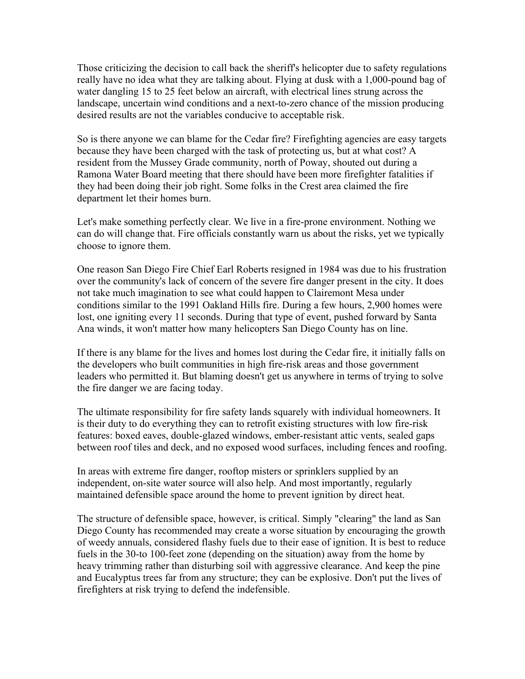Those criticizing the decision to call back the sheriff's helicopter due to safety regulations really have no idea what they are talking about. Flying at dusk with a 1,000-pound bag of water dangling 15 to 25 feet below an aircraft, with electrical lines strung across the landscape, uncertain wind conditions and a next-to-zero chance of the mission producing desired results are not the variables conducive to acceptable risk.

So is there anyone we can blame for the Cedar fire? Firefighting agencies are easy targets because they have been charged with the task of protecting us, but at what cost? A resident from the Mussey Grade community, north of Poway, shouted out during a Ramona Water Board meeting that there should have been more firefighter fatalities if they had been doing their job right. Some folks in the Crest area claimed the fire department let their homes burn.

Let's make something perfectly clear. We live in a fire-prone environment. Nothing we can do will change that. Fire officials constantly warn us about the risks, yet we typically choose to ignore them.

One reason San Diego Fire Chief Earl Roberts resigned in 1984 was due to his frustration over the community's lack of concern of the severe fire danger present in the city. It does not take much imagination to see what could happen to Clairemont Mesa under conditions similar to the 1991 Oakland Hills fire. During a few hours, 2,900 homes were lost, one igniting every 11 seconds. During that type of event, pushed forward by Santa Ana winds, it won't matter how many helicopters San Diego County has on line.

If there is any blame for the lives and homes lost during the Cedar fire, it initially falls on the developers who built communities in high fire-risk areas and those government leaders who permitted it. But blaming doesn't get us anywhere in terms of trying to solve the fire danger we are facing today.

The ultimate responsibility for fire safety lands squarely with individual homeowners. It is their duty to do everything they can to retrofit existing structures with low fire-risk features: boxed eaves, double-glazed windows, ember-resistant attic vents, sealed gaps between roof tiles and deck, and no exposed wood surfaces, including fences and roofing.

In areas with extreme fire danger, rooftop misters or sprinklers supplied by an independent, on-site water source will also help. And most importantly, regularly maintained defensible space around the home to prevent ignition by direct heat.

The structure of defensible space, however, is critical. Simply "clearing" the land as San Diego County has recommended may create a worse situation by encouraging the growth of weedy annuals, considered flashy fuels due to their ease of ignition. It is best to reduce fuels in the 30-to 100-feet zone (depending on the situation) away from the home by heavy trimming rather than disturbing soil with aggressive clearance. And keep the pine and Eucalyptus trees far from any structure; they can be explosive. Don't put the lives of firefighters at risk trying to defend the indefensible.